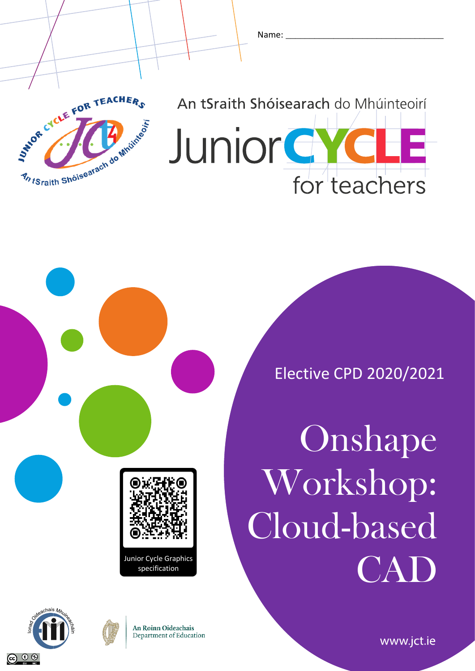



**Junior G** for teachers



Elective CPD 2020/2021

**Onshape** Workshop: Cloud-based Junior Cycle Graphics<br>specification





**An Roinn Oideachais** Department of Education

www.jct.ie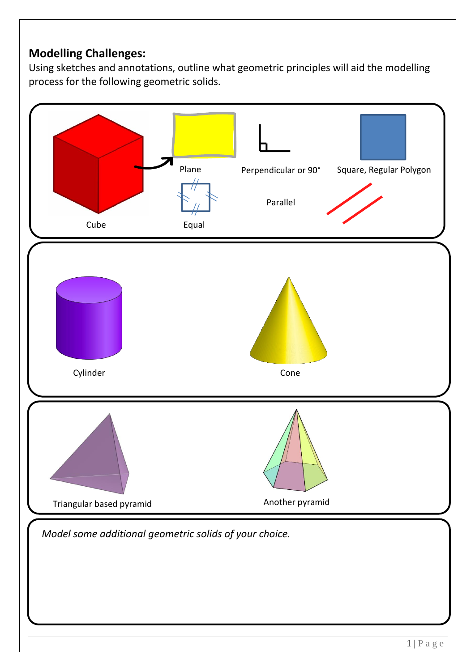# **Modelling Challenges:**

Using sketches and annotations, outline what geometric principles will aid the modelling process for the following geometric solids.

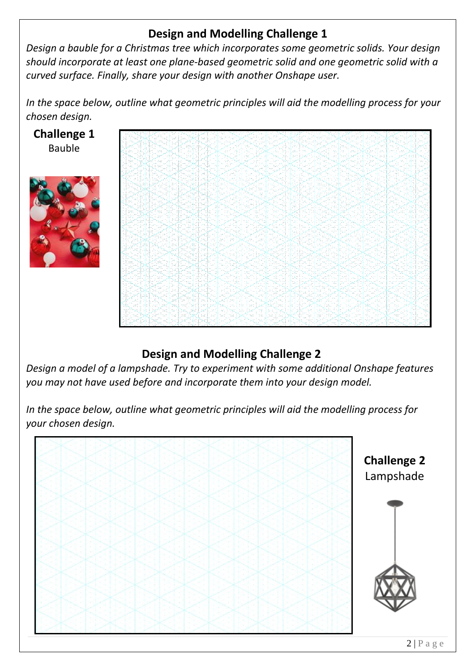# **Design and Modelling Challenge 1**

*Design a bauble for a Christmas tree which incorporates some geometric solids. Your design should incorporate at least one plane-based geometric solid and one geometric solid with a curved surface. Finally, share your design with another Onshape user.*

*In the space below, outline what geometric principles will aid the modelling process for your chosen design.*



# **Design and Modelling Challenge 2**

*Design a model of a lampshade. Try to experiment with some additional Onshape features you may not have used before and incorporate them into your design model.*

*In the space below, outline what geometric principles will aid the modelling process for your chosen design.*